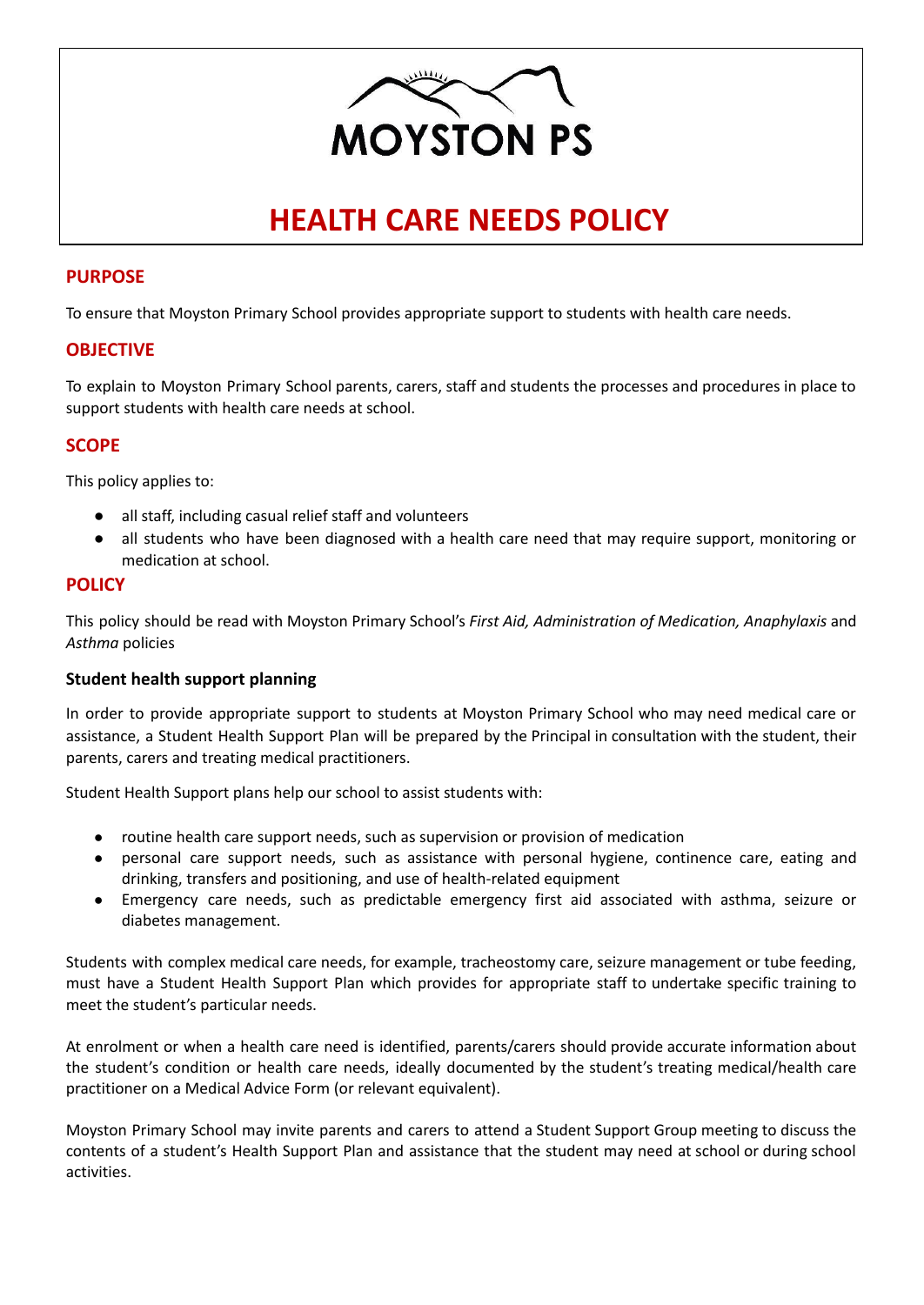

# **HEALTH CARE NEEDS POLICY**

## **PURPOSE**

To ensure that Moyston Primary School provides appropriate support to students with health care needs.

## **OBJECTIVE**

To explain to Moyston Primary School parents, carers, staff and students the processes and procedures in place to support students with health care needs at school.

## **SCOPE**

This policy applies to:

- all staff, including casual relief staff and volunteers
- all students who have been diagnosed with a health care need that may require support, monitoring or medication at school.

#### **POLICY**

This policy should be read with Moyston Primary School's *First Aid, Administration of Medication, Anaphylaxis* and *Asthma* policies

#### **Student health support planning**

In order to provide appropriate support to students at Moyston Primary School who may need medical care or assistance, a Student Health Support Plan will be prepared by the Principal in consultation with the student, their parents, carers and treating medical practitioners.

Student Health Support plans help our school to assist students with:

- routine health care support needs, such as supervision or provision of medication
- personal care support needs, such as assistance with personal hygiene, continence care, eating and drinking, transfers and positioning, and use of health-related equipment
- Emergency care needs, such as predictable emergency first aid associated with asthma, seizure or diabetes management.

Students with complex medical care needs, for example, tracheostomy care, seizure management or tube feeding, must have a Student Health Support Plan which provides for appropriate staff to undertake specific training to meet the student's particular needs.

At enrolment or when a health care need is identified, parents/carers should provide accurate information about the student's condition or health care needs, ideally documented by the student's treating medical/health care practitioner on a Medical Advice Form (or relevant equivalent).

Moyston Primary School may invite parents and carers to attend a Student Support Group meeting to discuss the contents of a student's Health Support Plan and assistance that the student may need at school or during school activities.